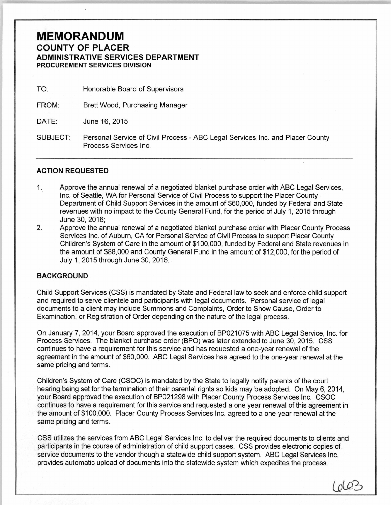## **MEMORANDUM COUNTY OF PLACER ADMINISTRATIVE SERVICES DEPARTMENT PROCUREMENT SERVICES DIVISION**

| TO:<br>Honorable Board of Supervisors |
|---------------------------------------|
|---------------------------------------|

FROM: Brett Wood, Purchasing Manager

DATE: June 16,2015

SUBJECT: Personal Service of Civil Process -ABC Legal Services Inc. and Placer County Process Services Inc.

## **ACTION REQUESTED**

- 1. Approve the annual renewal of a negotiated blanket purchase order with ABC Legal Services, Inc. of Seattle, WA for Personal Service of Civil Process to support the Placer County Department of Child Support Services in the amount of \$60,000, funded by Federal and State revenues with no impact to the County General Fund, for the period of July 1, 2015 through June 30, 2016;
- 2. Approve the annual renewal of a negotiated blanket purchase order with Placer County Process Services Inc. of Auburn, CA for Personal Service of Civil Process to support Placer County Children's System of Care in the amount of \$100,000, funded by Federal and State revenues in the amount of \$88,000 and County General Fund in the amount of \$12,000, for the period of July 1, 2015 through June 30, 2016.

## **BACKGROUND**

Child Support Services (CSS) is mandated by State and Federal law to seek and enforce child support and required to serve clientele and participants with legal documents. Personal service of legal documents to a client may include Summons and Complaints, Order to Show Cause, Order to Examination, or Registration of Order depending on the nature of the legal process.

On January 7, 2014, your Board approved the execution of BP021075 with ABC Legal Service, Inc. for Process Services. The blanket purchase order (BPO) was later extended to June 30, 2015. CSS continues to have a requirement for this service and has requested a one-year renewal of the agreement in the amount of \$60,000. ABC Legal Services has agreed to the one-year renewal at the same pricing and terms.

Children's System of Care (CSOC) is mandated by the State to legally notify parents of the court hearing being set for the termination of their parental rights so kids may be adopted. On May 6, 2014, your Board approved the execution of BP021298 with Placer County Process Services Inc. CSOC continues to have a requirement for this service and requested a one year renewal of this agreement in the amount of \$100,000. Placer County Process Services Inc. agreed to a one-year renewal at the same pricing and terms.

CSS utilizes the services from ABC Legal Services Inc. to deliver the required documents to clients and participants in the course of administration of child support cases. CSS provides electronic copies of service documents to the vendor though a statewide child support system. ABC Legal Services Inc. provides automatic upload of documents into the statewide system which expedites the process.